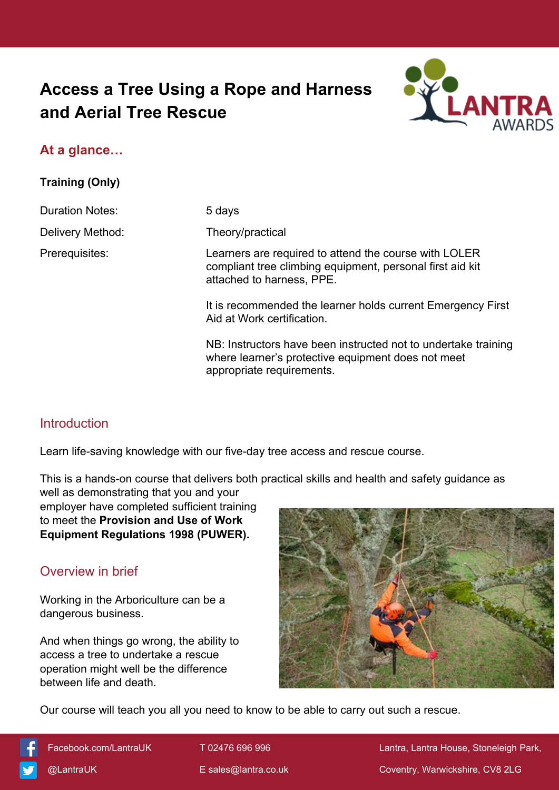# **Access a Tree Using a Rope and Harness and Aerial Tree Rescue**



#### **At a glance…**

**Training (Only)**

Duration Notes: 5 days

Delivery Method: Theory/practical

Prerequisites: Learners are required to attend the course with LOLER compliant tree climbing equipment, personal first aid kit attached to harness, PPE.

> It is recommended the learner holds current Emergency First Aid at Work certification.

NB: Instructors have been instructed not to undertake training where learner's protective equipment does not meet appropriate requirements.

## **Introduction**

Learn life-saving knowledge with our five-day tree access and rescue course.

This is a hands-on course that delivers both practical skills and health and safety guidance as

well as demonstrating that you and your employer have completed sufficient training to meet the **Provision and Use of Work Equipment Regulations 1998 (PUWER).**

## Overview in brief

Working in the Arboriculture can be a dangerous business.

And when things go wrong, the ability to access a tree to undertake a rescue operation might well be the difference between life and death.



Our course will teach you all you need to know to be able to carry out such a rescue.



[Facebook.com/LantraUK](https://www.facebook.com/LantraUK/) T 02476 696 996 Lantra, Lantra, Lantra House, Stoneleigh Park, [@LantraUK](http://www.twitter.com/lantrauk) E [sales@lantra.co.uk](mailto:sales@lantra.co.uk) Coventry, Warwickshire, CV8 2LG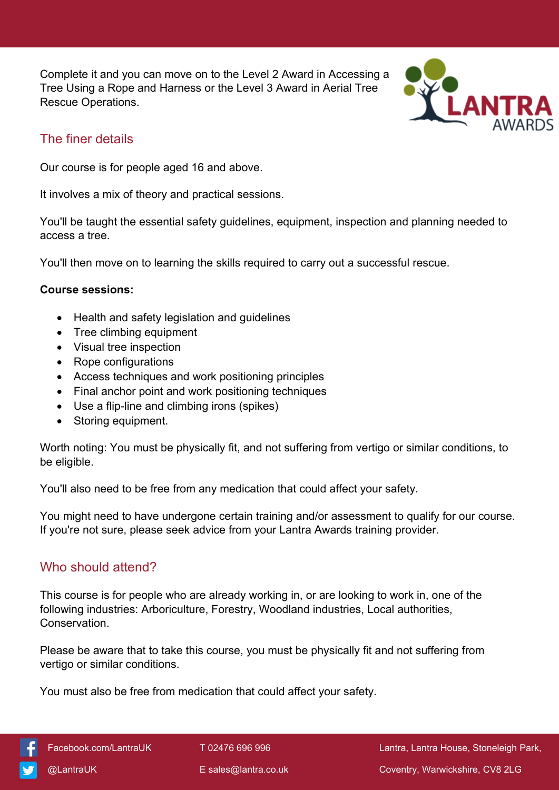Complete it and you can move on to the Level 2 Award in Accessing a Tree Using a Rope and Harness or the Level 3 Award in Aerial Tree Rescue Operations.



#### The finer details

Our course is for people aged 16 and above.

It involves a mix of theory and practical sessions.

You'll be taught the essential safety guidelines, equipment, inspection and planning needed to access a tree.

You'll then move on to learning the skills required to carry out a successful rescue.

#### **Course sessions:**

- Health and safety legislation and guidelines
- Tree climbing equipment
- Visual tree inspection
- Rope configurations
- Access techniques and work positioning principles
- Final anchor point and work positioning techniques
- Use a flip-line and climbing irons (spikes)
- Storing equipment.

Worth noting: You must be physically fit, and not suffering from vertigo or similar conditions, to be eligible.

You'll also need to be free from any medication that could affect your safety.

You might need to have undergone certain training and/or assessment to qualify for our course. If you're not sure, please seek advice from your Lantra Awards training provider.

#### Who should attend?

This course is for people who are already working in, or are looking to work in, one of the following industries: Arboriculture, Forestry, Woodland industries, Local authorities, Conservation.

Please be aware that to take this course, you must be physically fit and not suffering from vertigo or similar conditions.

You must also be free from medication that could affect your safety.